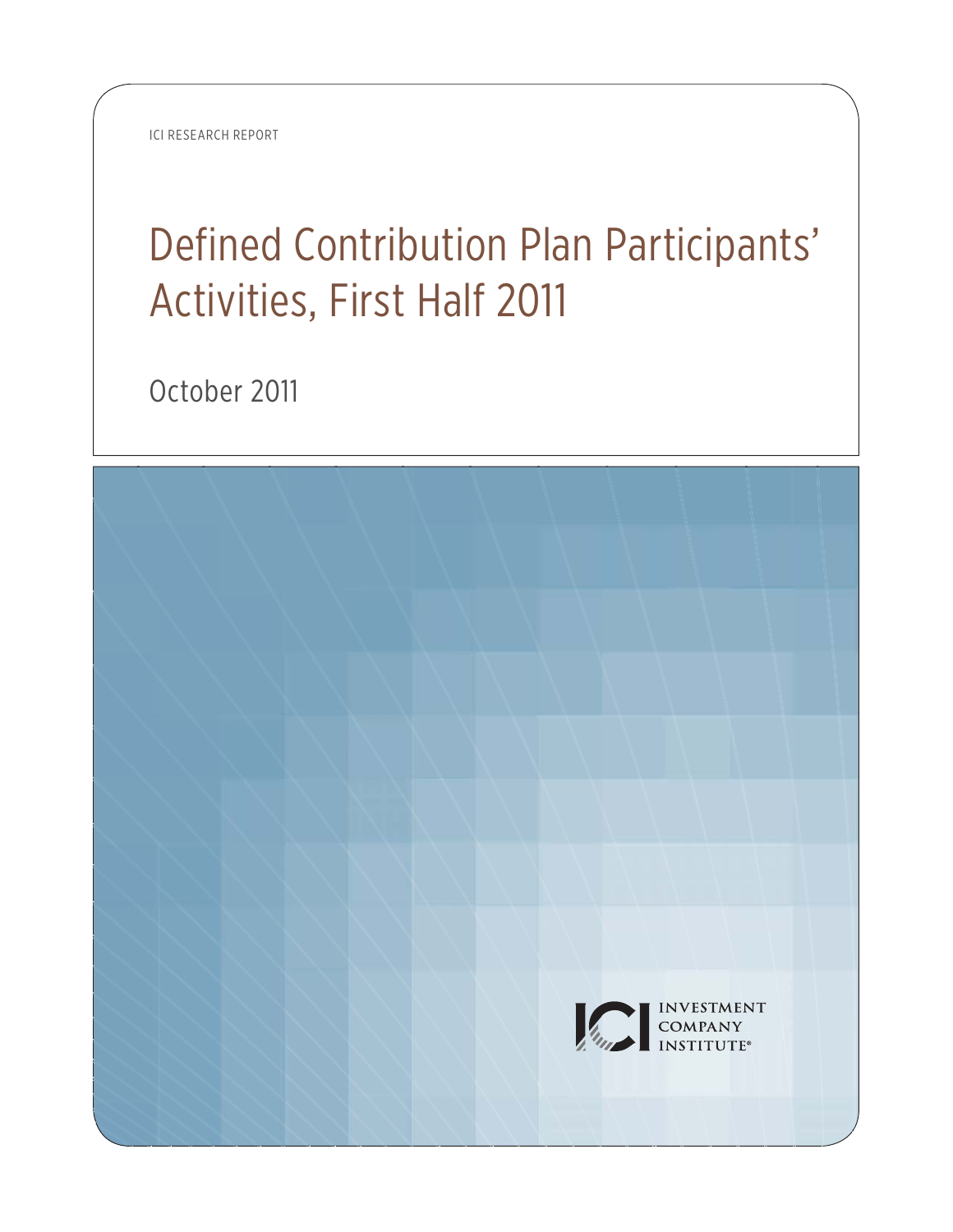ICI RESEARCH REPORT

# Defined Contribution Plan Participants' Activities, First Half 2011

October 2011

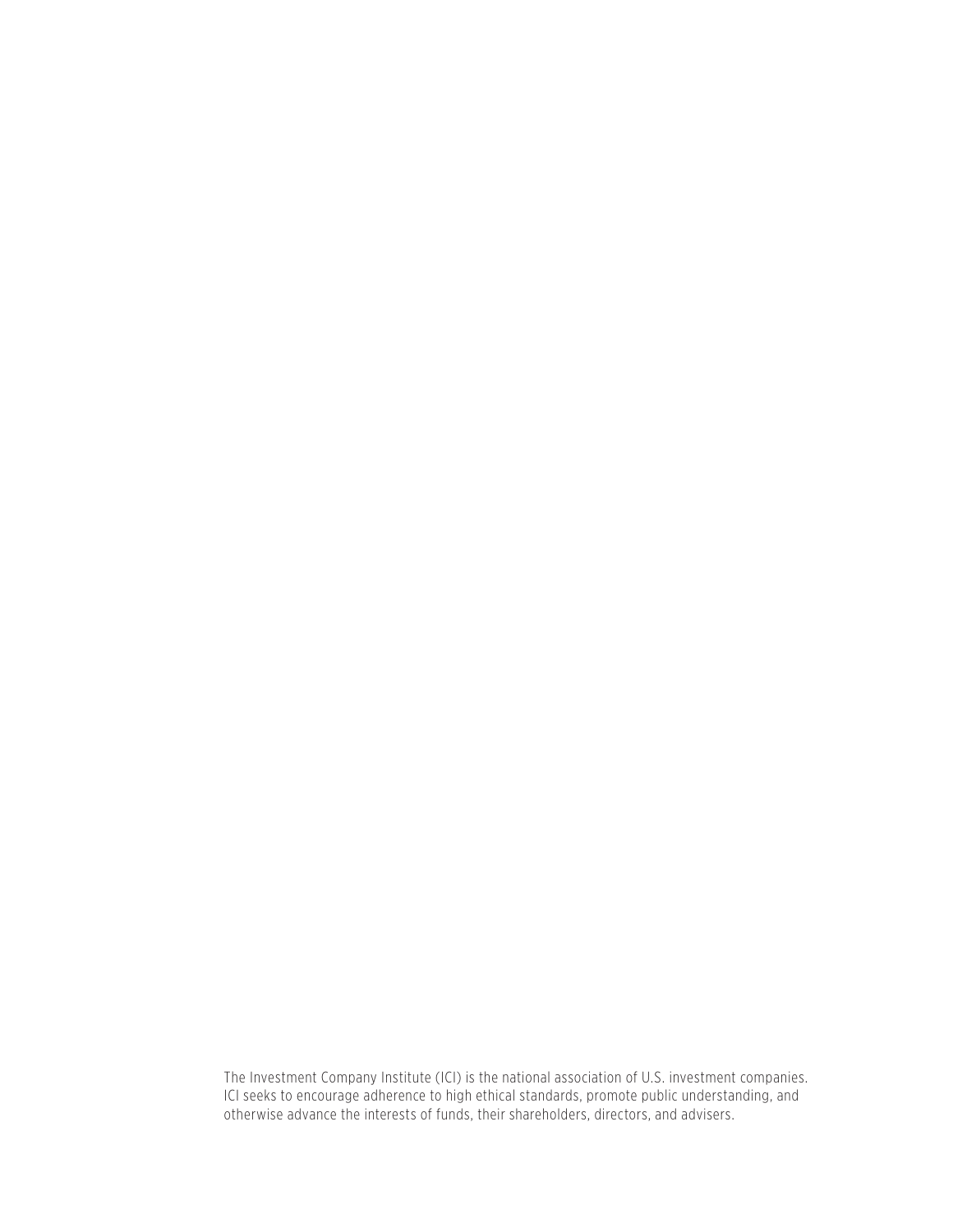The Investment Company Institute (ICI) is the national association of U.S. investment companies. ICI seeks to encourage adherence to high ethical standards, promote public understanding, and otherwise advance the interests of funds, their shareholders, directors, and advisers.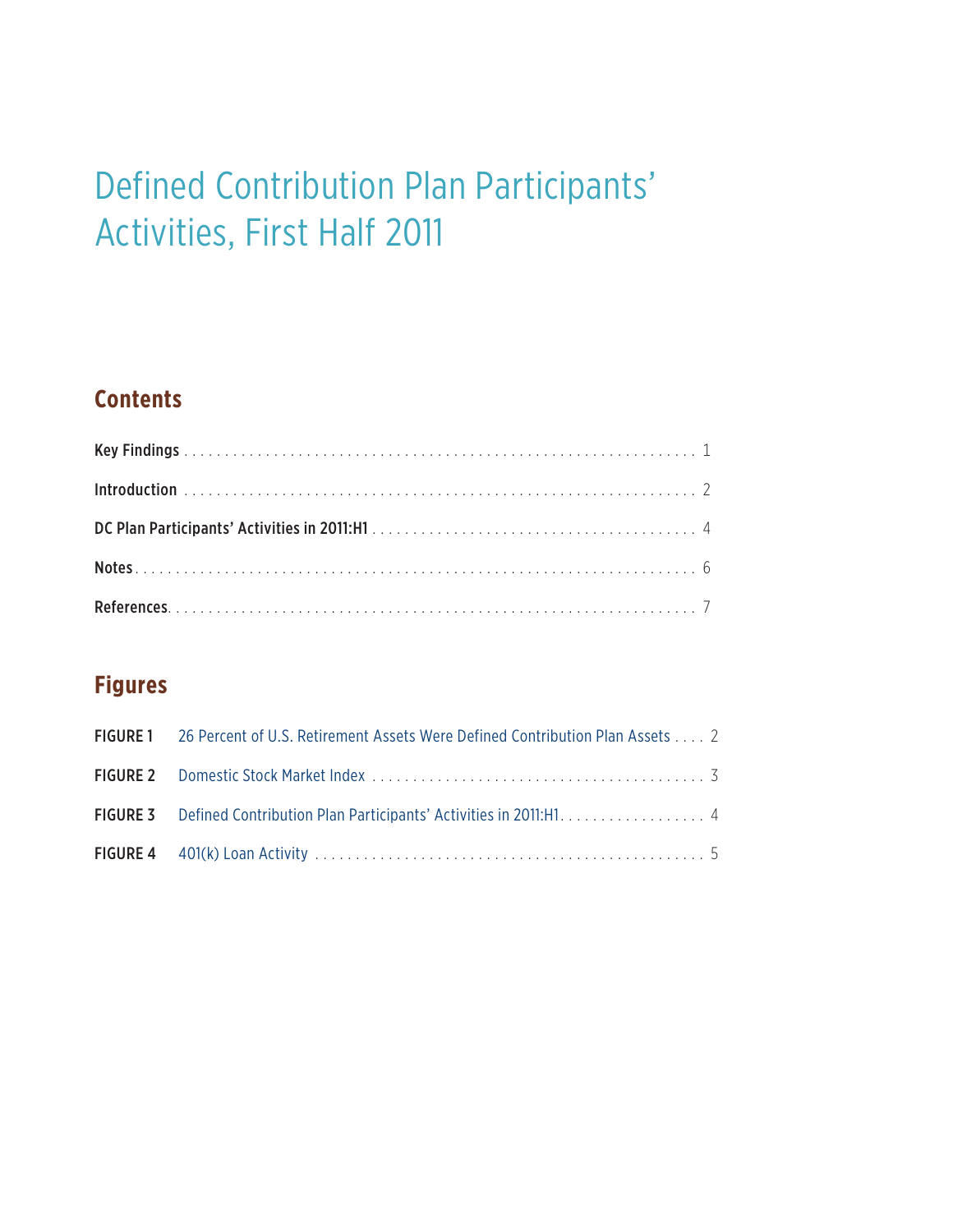# Defined Contribution Plan Participants' Activities, First Half 2011

## **Contents**

# **Figures**

| <b>FIGURE 1</b> 26 Percent of U.S. Retirement Assets Were Defined Contribution Plan Assets 2 |  |
|----------------------------------------------------------------------------------------------|--|
|                                                                                              |  |
| FIGURE 3 Defined Contribution Plan Participants' Activities in 2011:H1. 4                    |  |
|                                                                                              |  |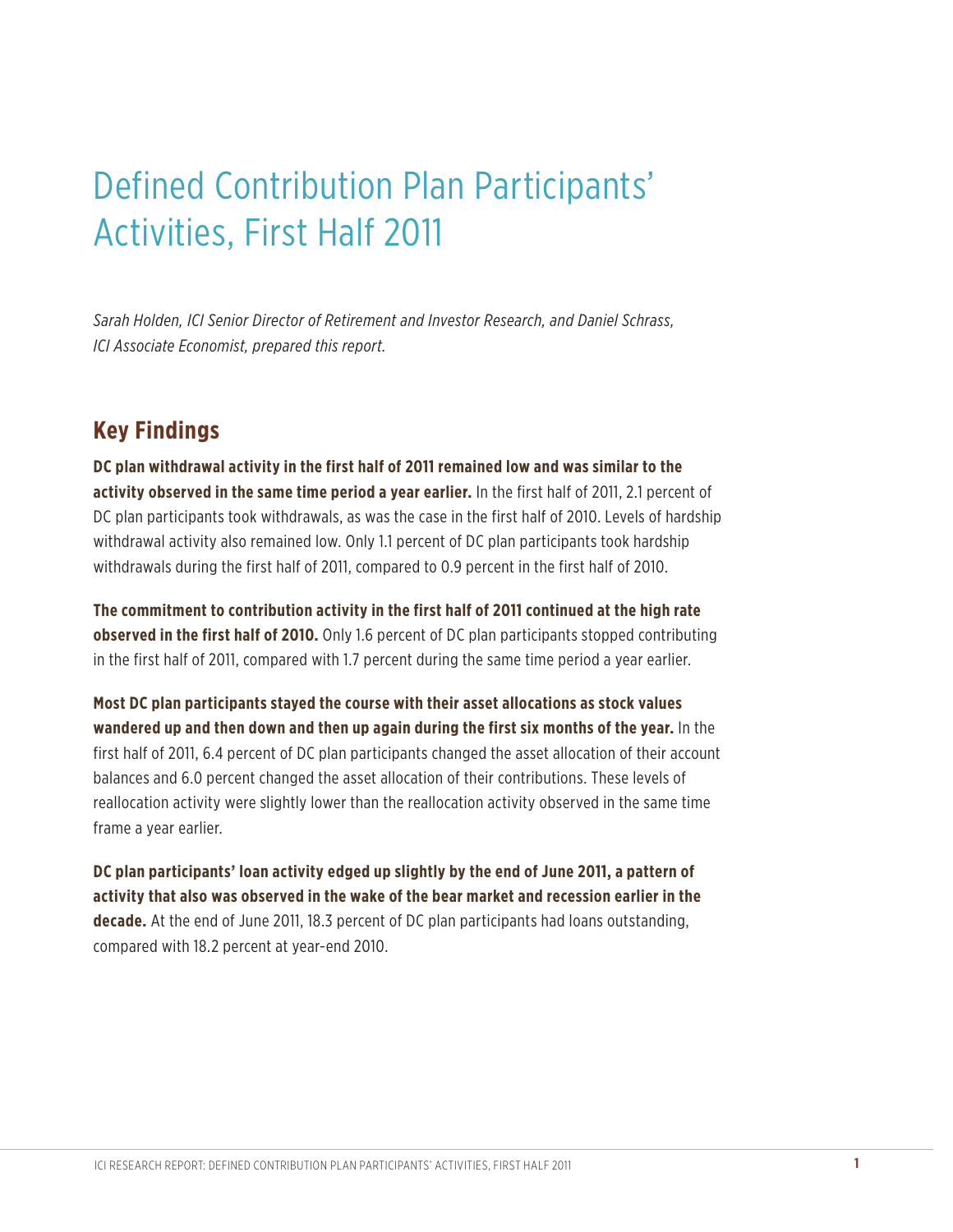# Defined Contribution Plan Participants' Activities, First Half 2011

*Sarah Holden, ICI Senior Director of Retirement and Investor Research, and Daniel Schrass, ICI Associate Economist, prepared this report.* 

### **Key Findings**

**DC plan withdrawal activity in the first half of 2011 remained low and was similar to the activity observed in the same time period a year earlier.** In the first half of 2011, 2.1 percent of DC plan participants took withdrawals, as was the case in the first half of 2010. Levels of hardship withdrawal activity also remained low. Only 1.1 percent of DC plan participants took hardship withdrawals during the first half of 2011, compared to 0.9 percent in the first half of 2010.

**The commitment to contribution activity in the first half of 2011 continued at the high rate observed in the first half of 2010.** Only 1.6 percent of DC plan participants stopped contributing in the first half of 2011, compared with 1.7 percent during the same time period a year earlier.

**Most DC plan participants stayed the course with their asset allocations as stock values wandered up and then down and then up again during the first six months of the year.** In the first half of 2011, 6.4 percent of DC plan participants changed the asset allocation of their account balances and 6.0 percent changed the asset allocation of their contributions. These levels of reallocation activity were slightly lower than the reallocation activity observed in the same time frame a year earlier.

**DC plan participants' loan activity edged up slightly by the end of June 2011, a pattern of activity that also was observed in the wake of the bear market and recession earlier in the decade.** At the end of June 2011, 18.3 percent of DC plan participants had loans outstanding, compared with 18.2 percent at year-end 2010.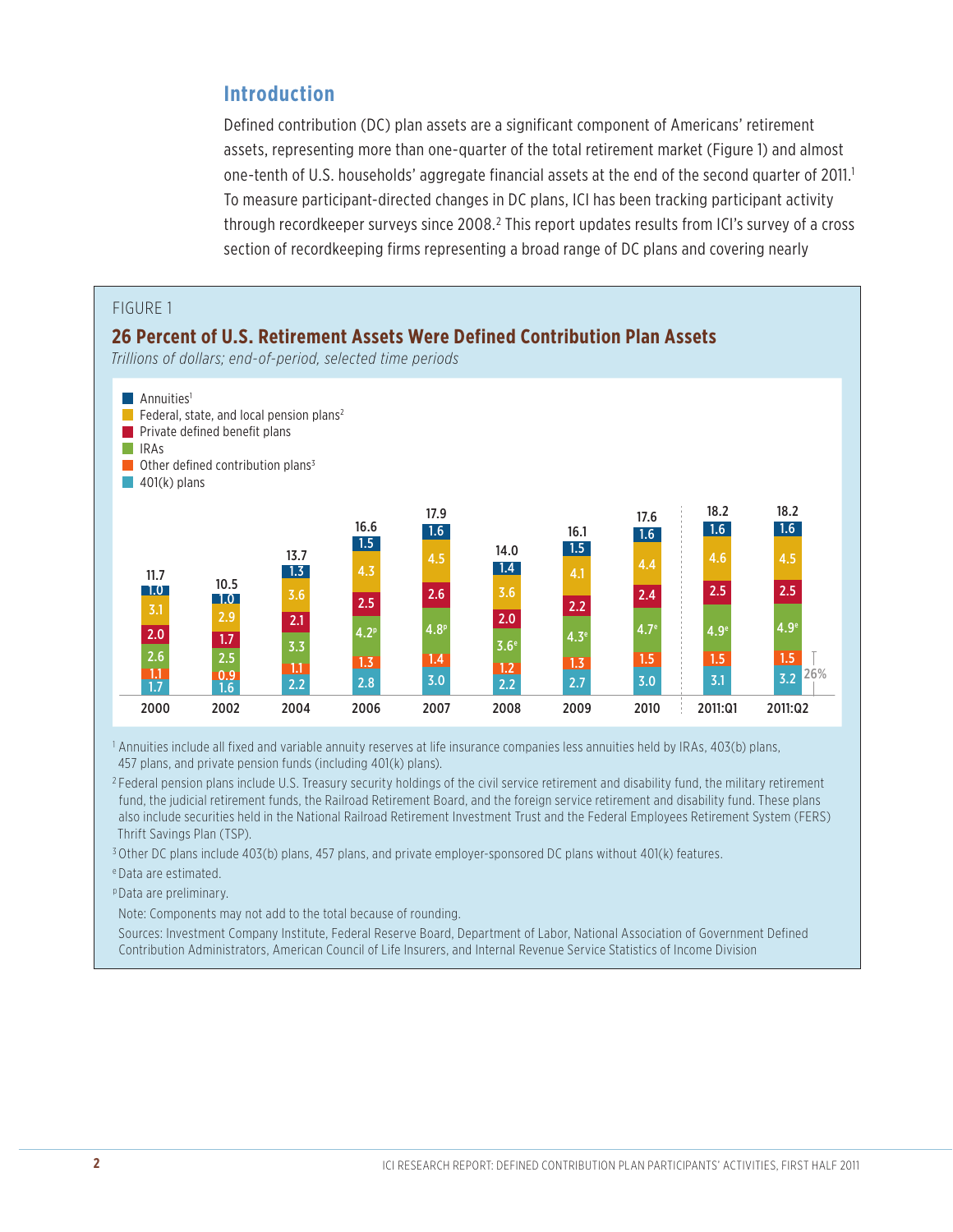#### **Introduction**

Defined contribution (DC) plan assets are a significant component of Americans' retirement assets, representing more than one-quarter of the total retirement market (Figure 1) and almost one-tenth of U.S. households' aggregate financial assets at the end of the second quarter of 2011.<sup>1</sup> To measure participant-directed changes in DC plans, ICI has been tracking participant activity through recordkeeper surveys since 2008.<sup>2</sup> This report updates results from ICI's survey of a cross section of recordkeeping firms representing a broad range of DC plans and covering nearly



1 Annuities include all fixed and variable annuity reserves at life insurance companies less annuities held by IRAs, 403(b) plans, 457 plans, and private pension funds (including 401(k) plans).

<sup>2</sup> Federal pension plans include U.S. Treasury security holdings of the civil service retirement and disability fund, the military retirement fund, the judicial retirement funds, the Railroad Retirement Board, and the foreign service retirement and disability fund. These plans also include securities held in the National Railroad Retirement Investment Trust and the Federal Employees Retirement System (FERS) Thrift Savings Plan (TSP).

3 Other DC plans include 403(b) plans, 457 plans, and private employer-sponsored DC plans without 401(k) features.

e Data are estimated.

p Data are preliminary.

Note: Components may not add to the total because of rounding.

Sources: Investment Company Institute, Federal Reserve Board, Department of Labor, National Association of Government Defined Contribution Administrators, American Council of Life Insurers, and Internal Revenue Service Statistics of Income Division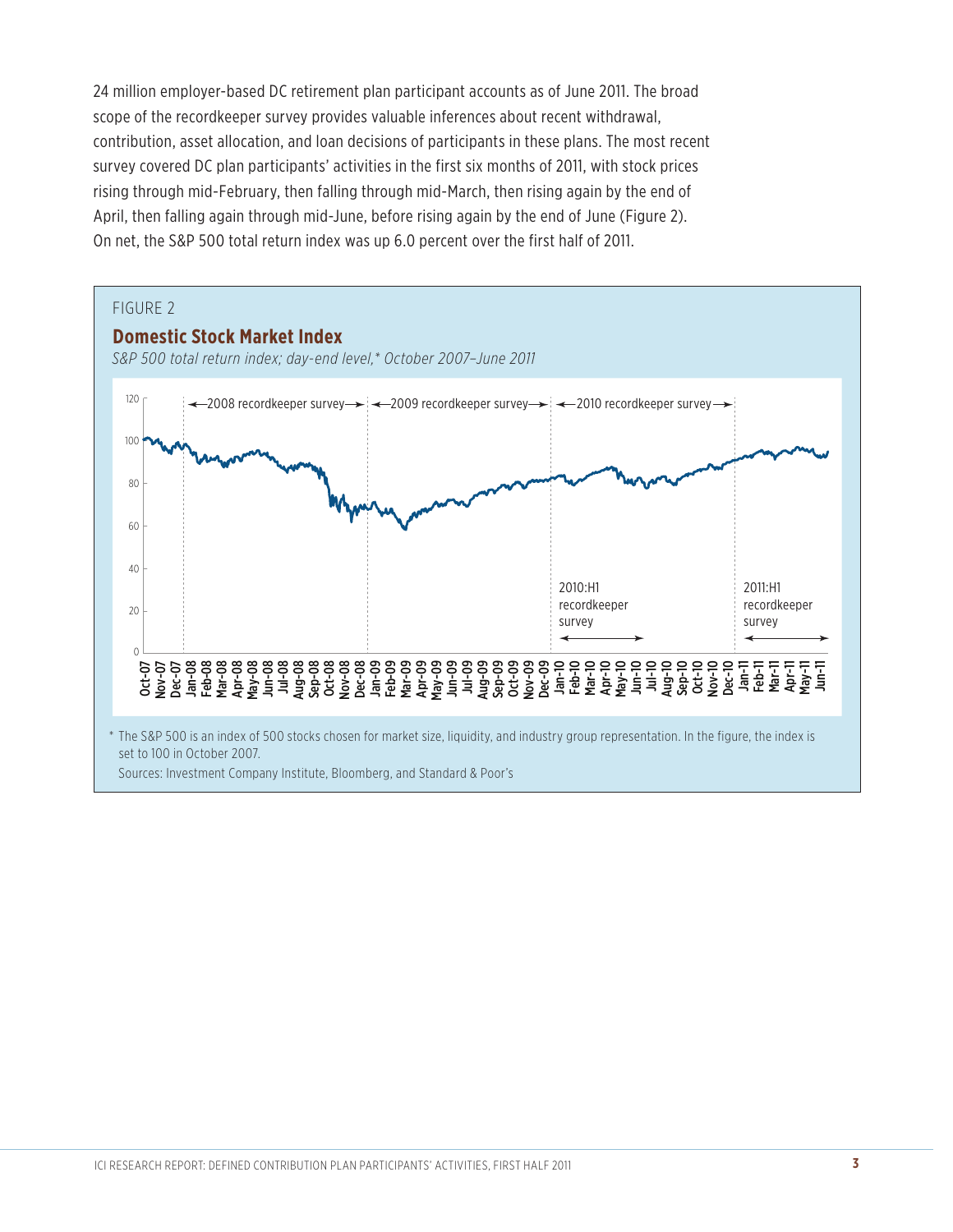24 million employer-based DC retirement plan participant accounts as of June 2011. The broad scope of the recordkeeper survey provides valuable inferences about recent withdrawal, contribution, asset allocation, and loan decisions of participants in these plans. The most recent survey covered DC plan participants' activities in the first six months of 2011, with stock prices rising through mid-February, then falling through mid-March, then rising again by the end of April, then falling again through mid-June, before rising again by the end of June (Figure 2). On net, the S&P 500 total return index was up 6.0 percent over the first half of 2011.

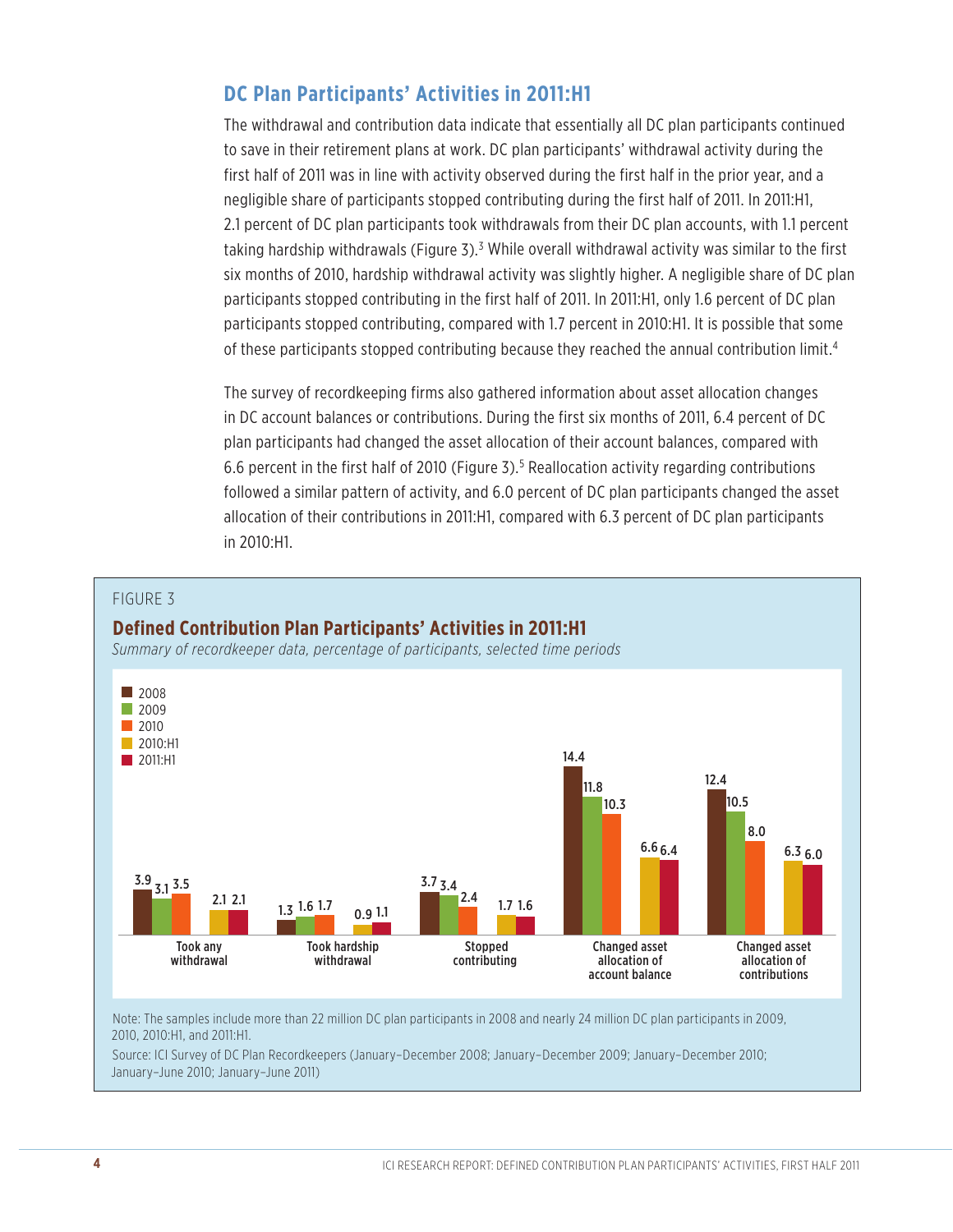#### **DC Plan Participants' Activities in 2011:H1**

The withdrawal and contribution data indicate that essentially all DC plan participants continued to save in their retirement plans at work. DC plan participants' withdrawal activity during the first half of 2011 was in line with activity observed during the first half in the prior year, and a negligible share of participants stopped contributing during the first half of 2011. In 2011:H1, 2.1 percent of DC plan participants took withdrawals from their DC plan accounts, with 1.1 percent taking hardship withdrawals (Figure 3).<sup>3</sup> While overall withdrawal activity was similar to the first six months of 2010, hardship withdrawal activity was slightly higher. A negligible share of DC plan participants stopped contributing in the first half of 2011. In 2011:H1, only 1.6 percent of DC plan participants stopped contributing, compared with 1.7 percent in 2010:H1. It is possible that some of these participants stopped contributing because they reached the annual contribution limit.<sup>4</sup>

The survey of recordkeeping firms also gathered information about asset allocation changes in DC account balances or contributions. During the first six months of 2011, 6.4 percent of DC plan participants had changed the asset allocation of their account balances, compared with 6.6 percent in the first half of 2010 (Figure 3).<sup>5</sup> Reallocation activity regarding contributions followed a similar pattern of activity, and 6.0 percent of DC plan participants changed the asset allocation of their contributions in 2011:H1, compared with 6.3 percent of DC plan participants in 2010:H1.



Source: ICI Survey of DC Plan Recordkeepers (January–December 2008; January–December 2009; January–December 2010; January–June 2010; January–June 2011)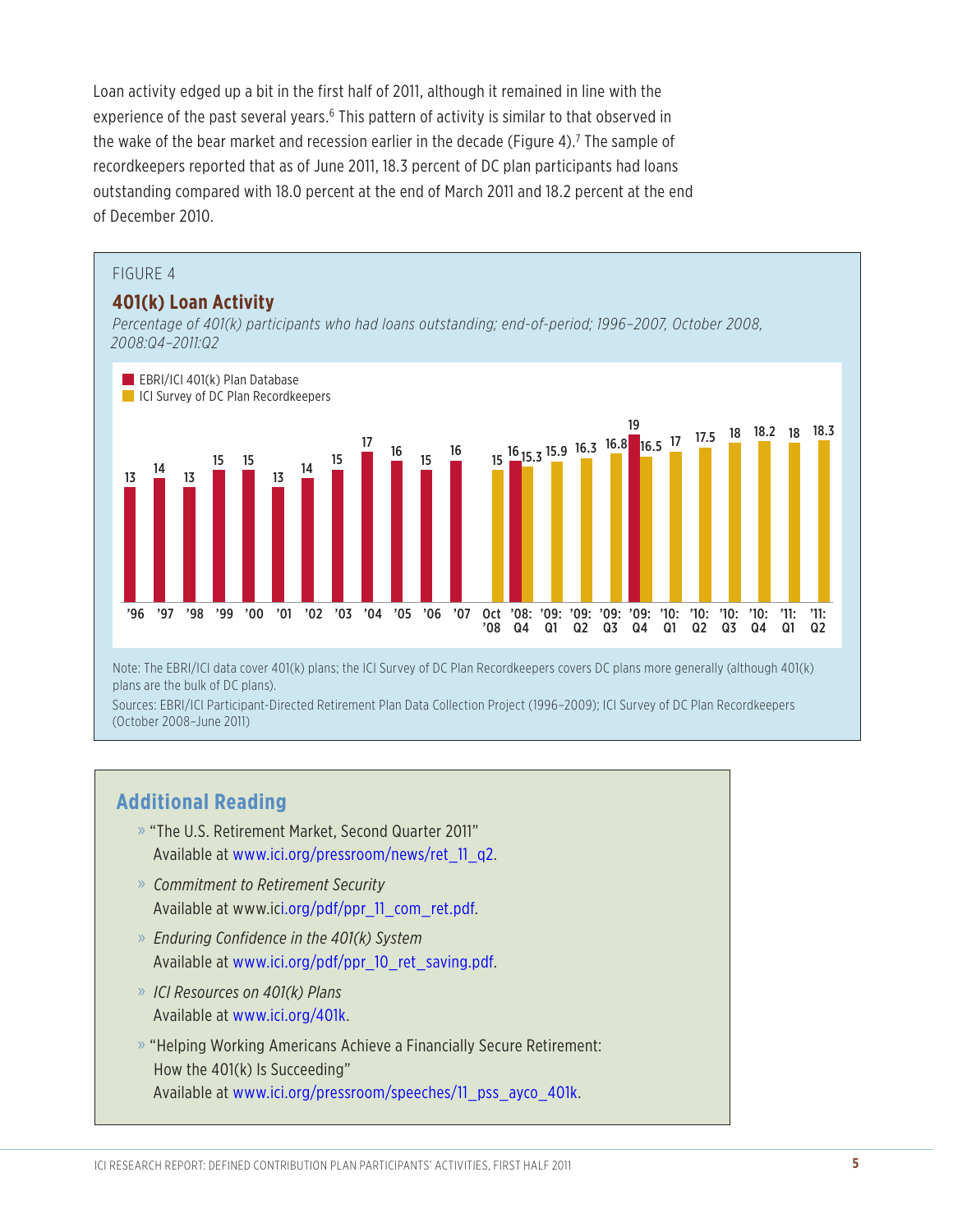Loan activity edged up a bit in the first half of 2011, although it remained in line with the experience of the past several years.<sup>6</sup> This pattern of activity is similar to that observed in the wake of the bear market and recession earlier in the decade (Figure 4).<sup>7</sup> The sample of recordkeepers reported that as of June 2011, 18.3 percent of DC plan participants had loans outstanding compared with 18.0 percent at the end of March 2011 and 18.2 percent at the end of December 2010.

#### FIGURE 4

#### **401(k) Loan Activity**

*Percentage of 401(k) participants who had loans outstanding; end-of-period; 1996–2007, October 2008, 2008:Q4–2011:Q2*



(October 2008–June 2011)

#### **Additional Reading**

- » "The U.S. Retirement Market, Second Quarter 2011" Available at www.ici.org/pressroom/news/ret\_11\_q2.
- » *Commitment to Retirement Security*  Available at www.ici.org/pdf/ppr\_11\_com\_ret.pdf.
- » *Enduring Confidence in the 401(k) System*  Available at www.ici.org/pdf/ppr\_10\_ret\_saving.pdf.
- » *ICI Resources on 401(k) Plans* Available at www.ici.org/401k.
- » "Helping Working Americans Achieve a Financially Secure Retirement: How the 401(k) Is Succeeding" Available at www.ici.org/pressroom/speeches/11\_pss\_ayco\_401k.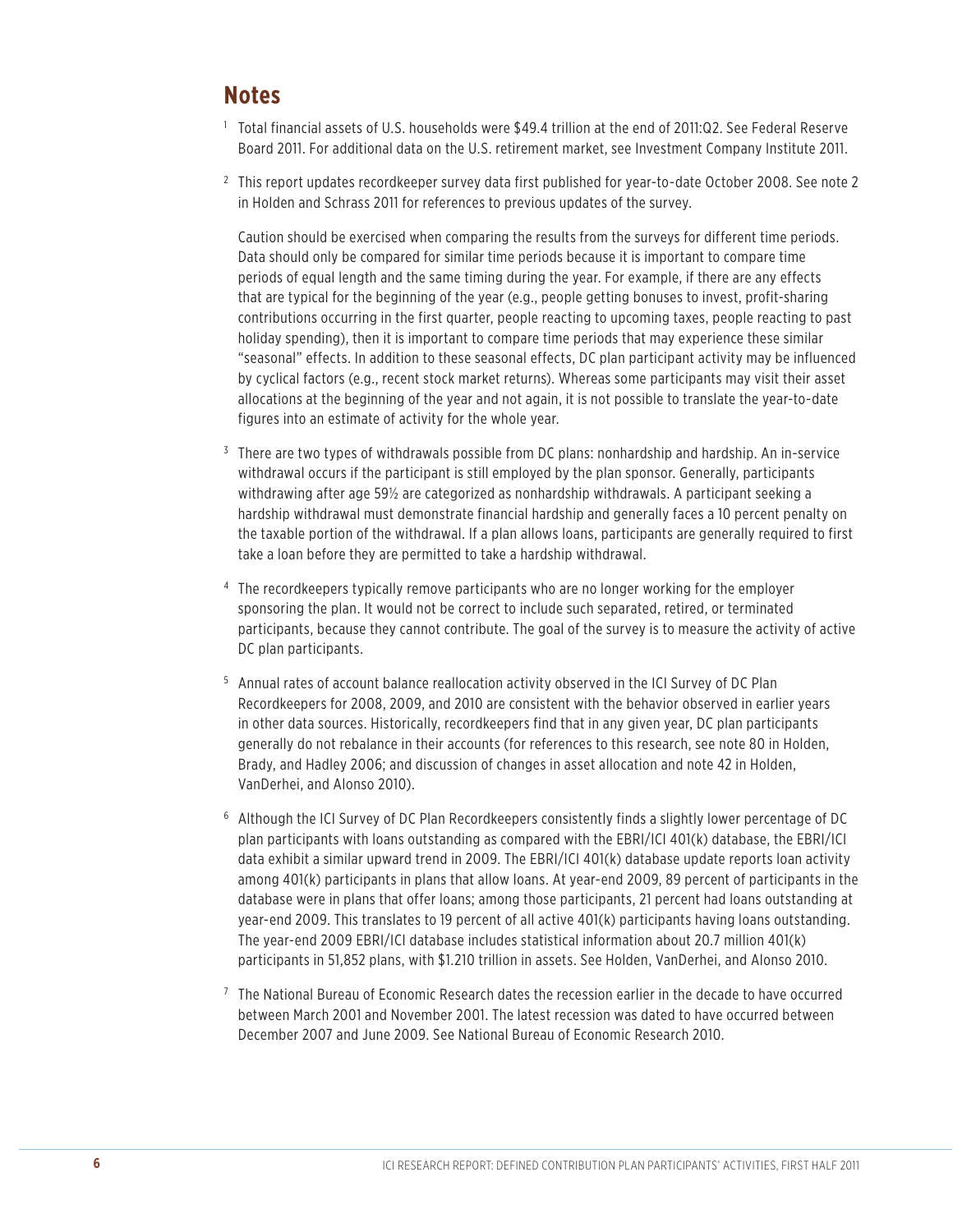#### **Notes**

- <sup>1</sup> Total financial assets of U.S. households were \$49.4 trillion at the end of 2011:Q2. See Federal Reserve Board 2011. For additional data on the U.S. retirement market, see Investment Company Institute 2011.
- <sup>2</sup> This report updates recordkeeper survey data first published for year-to-date October 2008. See note 2 in Holden and Schrass 2011 for references to previous updates of the survey.

Caution should be exercised when comparing the results from the surveys for different time periods. Data should only be compared for similar time periods because it is important to compare time periods of equal length and the same timing during the year. For example, if there are any effects that are typical for the beginning of the year (e.g., people getting bonuses to invest, profit-sharing contributions occurring in the first quarter, people reacting to upcoming taxes, people reacting to past holiday spending), then it is important to compare time periods that may experience these similar "seasonal" effects. In addition to these seasonal effects, DC plan participant activity may be influenced by cyclical factors (e.g., recent stock market returns). Whereas some participants may visit their asset allocations at the beginning of the year and not again, it is not possible to translate the year-to-date figures into an estimate of activity for the whole year.

- <sup>3</sup> There are two types of withdrawals possible from DC plans: nonhardship and hardship. An in-service withdrawal occurs if the participant is still employed by the plan sponsor. Generally, participants withdrawing after age 59½ are categorized as nonhardship withdrawals. A participant seeking a hardship withdrawal must demonstrate financial hardship and generally faces a 10 percent penalty on the taxable portion of the withdrawal. If a plan allows loans, participants are generally required to first take a loan before they are permitted to take a hardship withdrawal.
- <sup>4</sup> The recordkeepers typically remove participants who are no longer working for the employer sponsoring the plan. It would not be correct to include such separated, retired, or terminated participants, because they cannot contribute. The goal of the survey is to measure the activity of active DC plan participants.
- <sup>5</sup> Annual rates of account balance reallocation activity observed in the ICI Survey of DC Plan Recordkeepers for 2008, 2009, and 2010 are consistent with the behavior observed in earlier years in other data sources. Historically, recordkeepers find that in any given year, DC plan participants generally do not rebalance in their accounts (for references to this research, see note 80 in Holden, Brady, and Hadley 2006; and discussion of changes in asset allocation and note 42 in Holden, VanDerhei, and Alonso 2010).
- <sup>6</sup> Although the ICI Survey of DC Plan Recordkeepers consistently finds a slightly lower percentage of DC plan participants with loans outstanding as compared with the EBRI/ICI 401(k) database, the EBRI/ICI data exhibit a similar upward trend in 2009. The EBRI/ICI 401(k) database update reports loan activity among 401(k) participants in plans that allow loans. At year-end 2009, 89 percent of participants in the database were in plans that offer loans; among those participants, 21 percent had loans outstanding at year-end 2009. This translates to 19 percent of all active 401(k) participants having loans outstanding. The year-end 2009 EBRI/ICI database includes statistical information about 20.7 million 401(k) participants in 51,852 plans, with \$1.210 trillion in assets. See Holden, VanDerhei, and Alonso 2010.
- $<sup>7</sup>$  The National Bureau of Economic Research dates the recession earlier in the decade to have occurred</sup> between March 2001 and November 2001. The latest recession was dated to have occurred between December 2007 and June 2009. See National Bureau of Economic Research 2010.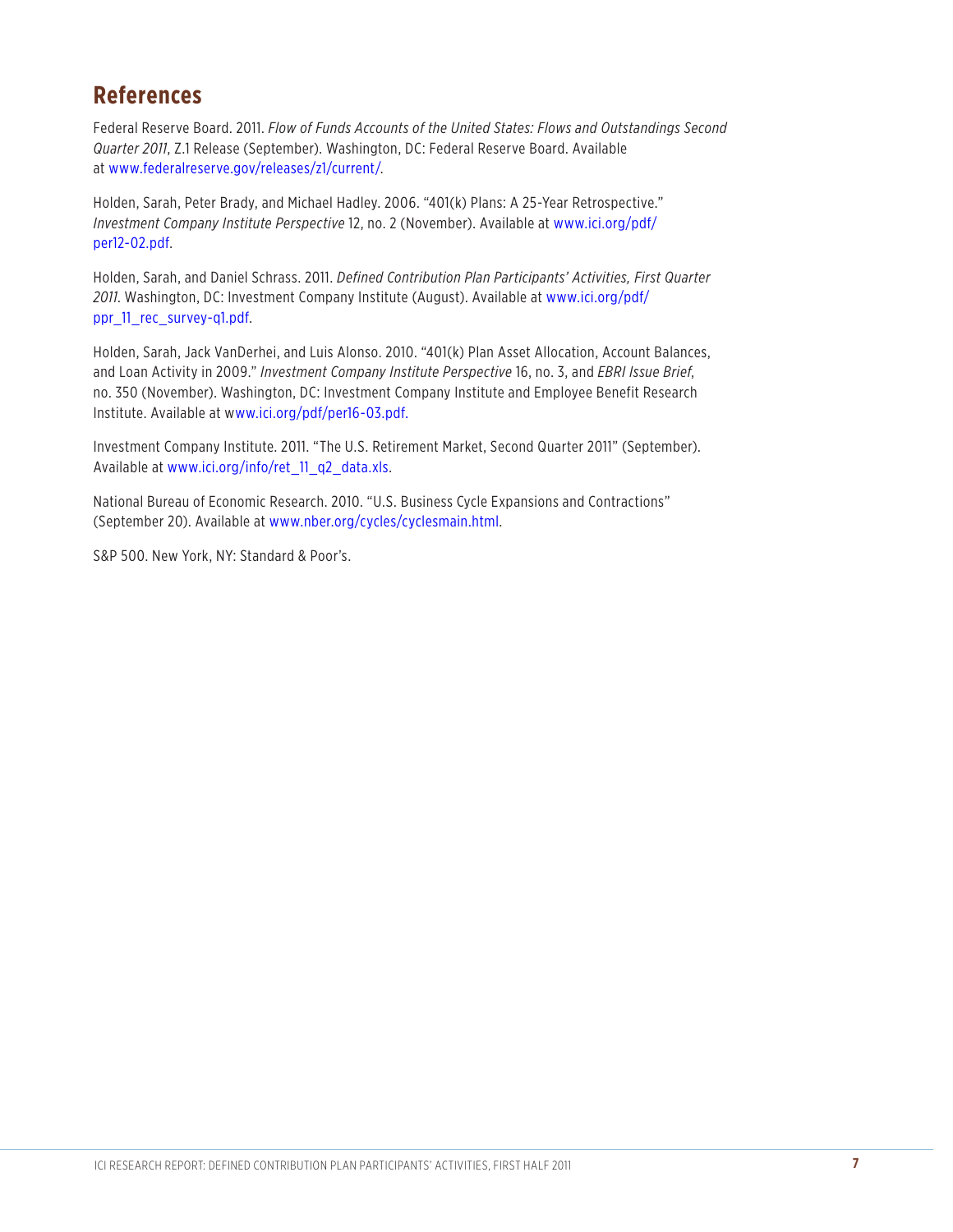### **References**

Federal Reserve Board. 2011. *Flow of Funds Accounts of the United States: Flows and Outstandings Second Quarter 2011*, Z.1 Release (September). Washington, DC: Federal Reserve Board. Available at www.federalreserve.gov/releases/z1/current/.

Holden, Sarah, Peter Brady, and Michael Hadley. 2006. "401(k) Plans: A 25-Year Retrospective." *Investment Company Institute Perspective* [12, no. 2 \(November\). Available at www.ici.org/pdf/](http://www.ici.org/pdf/per12-02.pdf) per12-02.pdf.

Holden, Sarah, and Daniel Schrass. 2011. *Defined Contribution Plan Participants' Activities, First Quarter 2011*[. Washington, DC: Investment Company Institute \(August\). Available at www.ici.org/pdf/](http://www.ici.org/pdf/ppr_11_rec_survey-q1.pdf) ppr\_11\_rec\_survey-q1.pdf.

Holden, Sarah, Jack VanDerhei, and Luis Alonso. 2010. "401(k) Plan Asset Allocation, Account Balances, and Loan Activity in 2009." *Investment Company Institute Perspective* 16, no. 3, and *EBRI Issue Brief*, no. 350 (November). Washington, DC: Investment Company Institute and Employee Benefit Research Institute. Available at www.ici.org/pdf/per16-03.pdf.

Investment Company Institute. 2011. "The U.S. Retirement Market, Second Quarter 2011" (September). Available at www.ici.org/info/ret\_11\_q2\_data.xls.

National Bureau of Economic Research. 2010. "U.S. Business Cycle Expansions and Contractions" (September 20). Available at www.nber.org/cycles/cyclesmain.html.

S&P 500. New York, NY: Standard & Poor's.